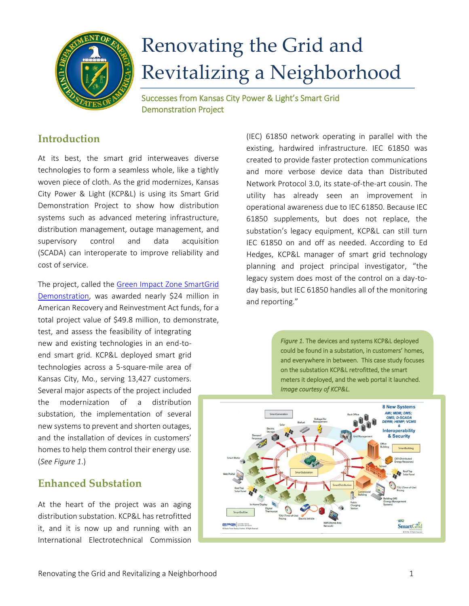

# Renovating the Grid and Revitalizing a Neighborhood

Successes from Kansas City Power & Light's Smart Grid Demonstration Project

# **Introduction**

At its best, the smart grid interweaves diverse technologies to form a seamless whole, like a tightly woven piece of cloth. As the grid modernizes, Kansas City Power & Light (KCP&L) is using its Smart Grid Demonstration Project to show how distribution systems such as advanced metering infrastructure, distribution management, outage management, and supervisory control and data acquisition (SCADA) can interoperate to improve reliability and cost of service.

The project, called the [Green Impact Zone SmartGrid](http://kcplsmartgrid.com/about-kcpl-smartgrid/project-overview)  [Demonstration,](http://kcplsmartgrid.com/about-kcpl-smartgrid/project-overview) was awarded nearly \$24 million in American Recovery and Reinvestment Act funds, for a total project value of \$49.8 million, to demonstrate, test, and assess the feasibility of integrating new and existing technologies in an end-toend smart grid. KCP&L deployed smart grid technologies across a 5-square-mile area of Kansas City, Mo., serving 13,427 customers. Several major aspects of the project included the modernization of a distribution substation, the implementation of several new systems to prevent and shorten outages, and the installation of devices in customers' homes to help them control their energy use. (*See Figure 1*.)

# **Enhanced Substation**

At the heart of the project was an aging distribution substation. KCP&L has retrofitted it, and it is now up and running with an International Electrotechnical Commission (IEC) 61850 network operating in parallel with the existing, hardwired infrastructure. IEC 61850 was created to provide faster protection communications and more verbose device data than Distributed Network Protocol 3.0, its state-of-the-art cousin. The utility has already seen an improvement in operational awareness due to IEC 61850. Because IEC 61850 supplements, but does not replace, the substation's legacy equipment, KCP&L can still turn IEC 61850 on and off as needed. According to Ed Hedges, KCP&L manager of smart grid technology planning and project principal investigator, "the legacy system does most of the control on a day-today basis, but IEC 61850 handles all of the monitoring and reporting."

> *Figure 1.* The devices and systems KCP&L deployed could be found in a substation, in customers' homes, and everywhere in between. This case study focuses on the substation KCP&L retrofitted, the smart meters it deployed, and the web portal it launched. *Image courtesy of KCP&L.*

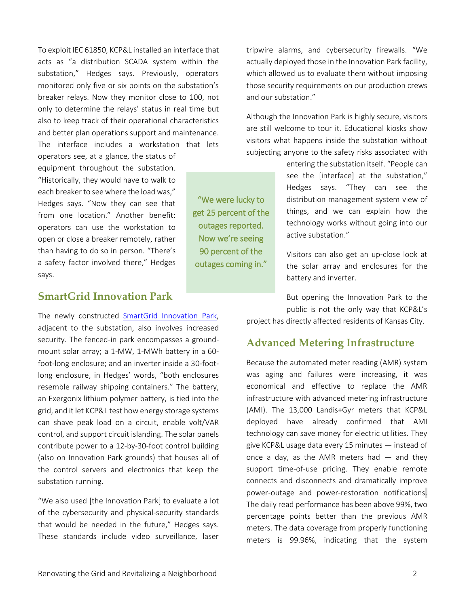To exploit IEC 61850, KCP&L installed an interface that acts as "a distribution SCADA system within the substation," Hedges says. Previously, operators monitored only five or six points on the substation's breaker relays. Now they monitor close to 100, not only to determine the relays' status in real time but also to keep track of their operational characteristics and better plan operations support and maintenance. The interface includes a workstation that lets

operators see, at a glance, the status of equipment throughout the substation. "Historically, they would have to walk to each breaker to see where the load was," Hedges says. "Now they can see that from one location." Another benefit: operators can use the workstation to open or close a breaker remotely, rather than having to do so in person. "There's a safety factor involved there," Hedges says.

# **SmartGrid Innovation Park**

The newly constructed [SmartGrid Innovation Park,](http://kcplsmartgrid.com/about-kcpl-smartgrid/kcpl-smartgrid-innovation-park) adjacent to the substation, also involves increased security. The fenced-in park encompasses a groundmount solar array; a 1-MW, 1-MWh battery in a 60 foot-long enclosure; and an inverter inside a 30-footlong enclosure, in Hedges' words, "both enclosures resemble railway shipping containers." The battery, an Exergonix lithium polymer battery, is tied into the grid, and it let KCP&L test how energy storage systems can shave peak load on a circuit, enable volt/VAR control, and support circuit islanding. The solar panels contribute power to a 12-by-30-foot control building (also on Innovation Park grounds) that houses all of the control servers and electronics that keep the substation running.

"We also used [the Innovation Park] to evaluate a lot of the cybersecurity and physical-security standards that would be needed in the future," Hedges says. These standards include video surveillance, laser

tripwire alarms, and cybersecurity firewalls. "We actually deployed those in the Innovation Park facility, which allowed us to evaluate them without imposing those security requirements on our production crews and our substation."

Although the Innovation Park is highly secure, visitors are still welcome to tour it. Educational kiosks show visitors what happens inside the substation without subjecting anyone to the safety risks associated with

"We were lucky to get 25 percent of the outages reported. Now we're seeing 90 percent of the outages coming in."

entering the substation itself. "People can see the [interface] at the substation," Hedges says. "They can see the distribution management system view of things, and we can explain how the technology works without going into our active substation."

Visitors can also get an up-close look at the solar array and enclosures for the battery and inverter.

But opening the Innovation Park to the public is not the only way that KCP&L's project has directly affected residents of Kansas City.

#### **Advanced Metering Infrastructure**

Because the automated meter reading (AMR) system was aging and failures were increasing, it was economical and effective to replace the AMR infrastructure with advanced metering infrastructure (AMI). The 13,000 Landis+Gyr meters that KCP&L deployed have already confirmed that AMI technology can save money for electric utilities. They give KCP&L usage data every 15 minutes — instead of once a day, as the AMR meters had  $-$  and they support time-of-use pricing. They enable remote connects and disconnects and dramatically improve power-outage and power-restoration notifications. The daily read performance has been above 99%, two percentage points better than the previous AMR meters. The data coverage from properly functioning meters is 99.96%, indicating that the system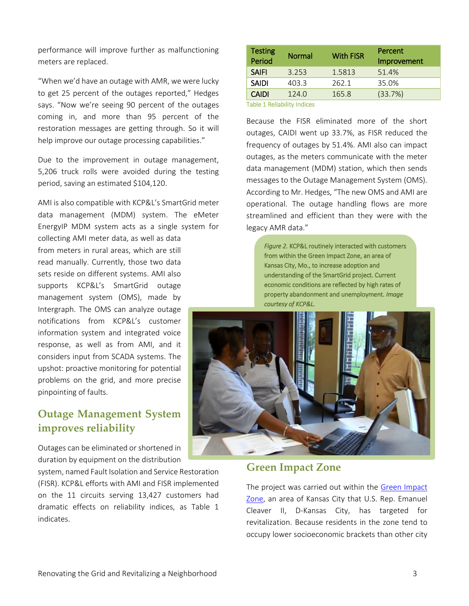performance will improve further as malfunctioning meters are replaced.

"When we'd have an outage with AMR, we were lucky to get 25 percent of the outages reported," Hedges says. "Now we're seeing 90 percent of the outages coming in, and more than 95 percent of the restoration messages are getting through. So it will help improve our outage processing capabilities."

Due to the improvement in outage management, 5,206 truck rolls were avoided during the testing period, saving an estimated \$104,120.

AMI is also compatible with KCP&L's SmartGrid meter data management (MDM) system. The eMeter EnergyIP MDM system acts as a single system for

collecting AMI meter data, as well as data from meters in rural areas, which are still read manually. Currently, those two data sets reside on different systems. AMI also supports KCP&L's SmartGrid outage management system (OMS), made by Intergraph. The OMS can analyze outage notifications from KCP&L's customer information system and integrated voice response, as well as from AMI, and it considers input from SCADA systems. The upshot: proactive monitoring for potential problems on the grid, and more precise pinpointing of faults.

# **Outage Management System improves reliability**

Outages can be eliminated or shortened in duration by equipment on the distribution

system, named Fault Isolation and Service Restoration (FISR). KCP&L efforts with AMI and FISR implemented on the 11 circuits serving 13,427 customers had dramatic effects on reliability indices, as Table 1 indicates.

| <b>Testing</b><br>Period    | <b>Normal</b> | <b>With FISR</b> | Percent<br>Improvement |
|-----------------------------|---------------|------------------|------------------------|
| <b>SAIFI</b>                | 3.253         | 1.5813           | 51.4%                  |
| <b>SAIDI</b>                | 403.3         | 262.1            | 35.0%                  |
| <b>CAIDI</b>                | 124.0         | 165.8            | (33.7%)                |
| Tahle 1 Reliahility Indices |               |                  |                        |

ble 1 Reliability In

Because the FISR eliminated more of the short outages, CAIDI went up 33.7%, as FISR reduced the frequency of outages by 51.4%. AMI also can impact outages, as the meters communicate with the meter data management (MDM) station, which then sends messages to the Outage Management System (OMS). According to Mr. Hedges, "The new OMS and AMI are operational. The outage handling flows are more streamlined and efficient than they were with the legacy AMR data."

*Figure 2.* KCP&L routinely interacted with customers from within the Green Impact Zone, an area of Kansas City, Mo., to increase adoption and understanding of the SmartGrid project. Current economic conditions are reflected by high rates of property abandonment and unemployment. *Image courtesy of KCP&L.*



**Green Impact Zone**

The project was carried out within the Green Impact [Zone,](http://www.greenimpactzone.org/) an area of Kansas City that U.S. Rep. Emanuel Cleaver II, D-Kansas City, has targeted for revitalization. Because residents in the zone tend to occupy lower socioeconomic brackets than other city